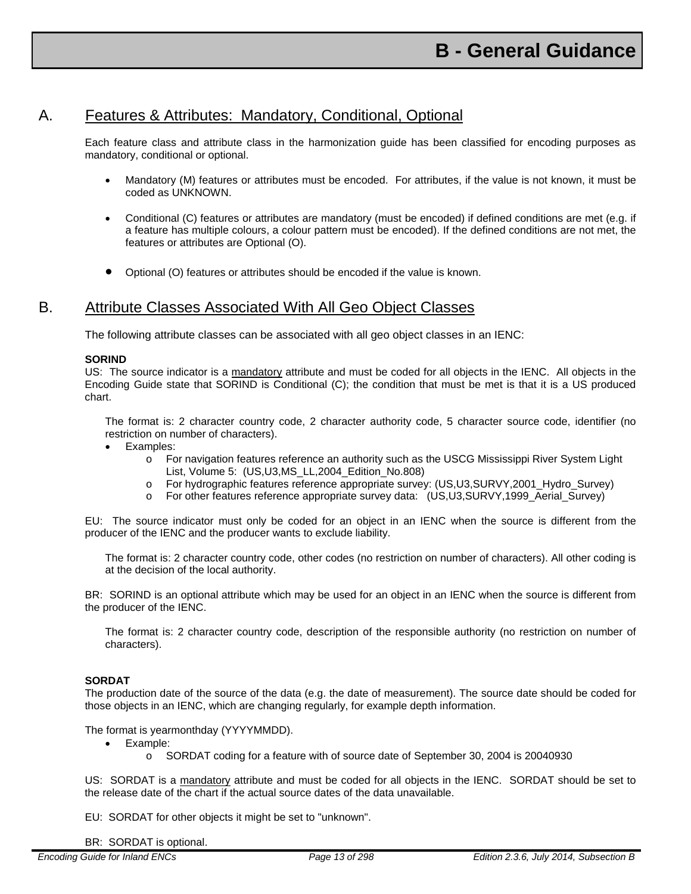## A. Features & Attributes: Mandatory, Conditional, Optional

Each feature class and attribute class in the harmonization guide has been classified for encoding purposes as mandatory, conditional or optional.

- Mandatory (M) features or attributes must be encoded. For attributes, if the value is not known, it must be coded as UNKNOWN.
- Conditional (C) features or attributes are mandatory (must be encoded) if defined conditions are met (e.g. if a feature has multiple colours, a colour pattern must be encoded). If the defined conditions are not met, the features or attributes are Optional (O).
- Optional (O) features or attributes should be encoded if the value is known.

### B. Attribute Classes Associated With All Geo Object Classes

The following attribute classes can be associated with all geo object classes in an IENC:

### **SORIND**

US: The source indicator is a mandatory attribute and must be coded for all objects in the IENC. All objects in the Encoding Guide state that SORIND is Conditional (C); the condition that must be met is that it is a US produced chart.

The format is: 2 character country code, 2 character authority code, 5 character source code, identifier (no restriction on number of characters).

- Examples:
	- o For navigation features reference an authority such as the USCG Mississippi River System Light List, Volume 5: (US,U3,MS\_LL,2004\_Edition\_No.808)
	- o For hydrographic features reference appropriate survey: (US,U3,SURVY,2001\_Hydro\_Survey)<br>
	For other features reference appropriate survey data: (US,U3,SURVY,1999 Aerial Survey)
	- For other features reference appropriate survey data: (US,U3,SURVY,1999\_Aerial\_Survey)

EU: The source indicator must only be coded for an object in an IENC when the source is different from the producer of the IENC and the producer wants to exclude liability.

The format is: 2 character country code, other codes (no restriction on number of characters). All other coding is at the decision of the local authority.

BR: SORIND is an optional attribute which may be used for an object in an IENC when the source is different from the producer of the IENC.

The format is: 2 character country code, description of the responsible authority (no restriction on number of characters).

### **SORDAT**

The production date of the source of the data (e.g. the date of measurement). The source date should be coded for those objects in an IENC, which are changing regularly, for example depth information.

The format is yearmonthday (YYYYMMDD).

- Example:
	- o SORDAT coding for a feature with of source date of September 30, 2004 is 20040930

US: SORDAT is a mandatory attribute and must be coded for all objects in the IENC. SORDAT should be set to the release date of the chart if the actual source dates of the data unavailable.

EU: SORDAT for other objects it might be set to "unknown".

BR: SORDAT is optional.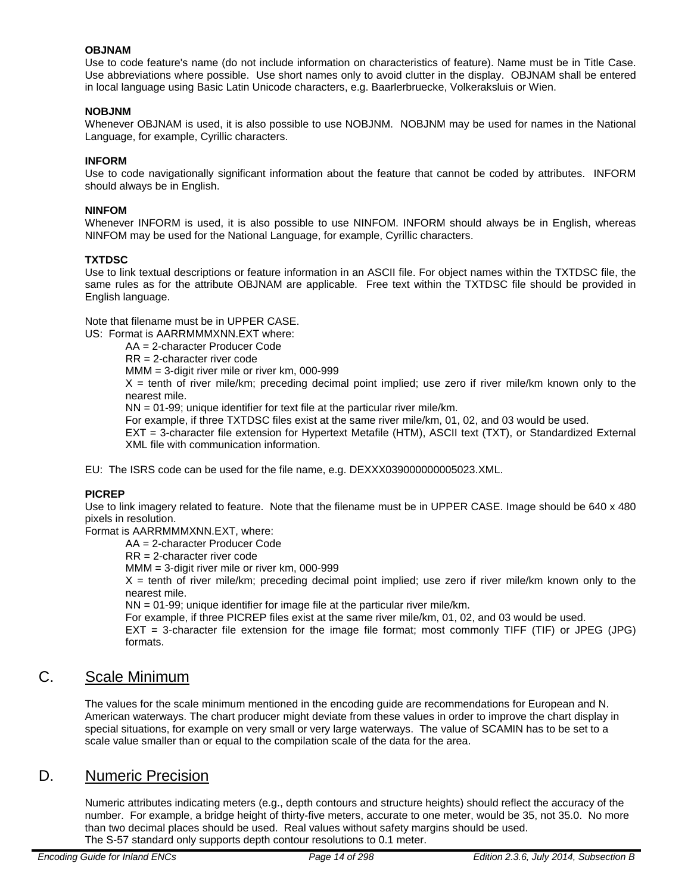#### **OBJNAM**

Use to code feature's name (do not include information on characteristics of feature). Name must be in Title Case. Use abbreviations where possible. Use short names only to avoid clutter in the display. OBJNAM shall be entered in local language using Basic Latin Unicode characters, e.g. Baarlerbruecke, Volkeraksluis or Wien.

#### **NOBJNM**

Whenever OBJNAM is used, it is also possible to use NOBJNM. NOBJNM may be used for names in the National Language, for example, Cyrillic characters.

#### **INFORM**

Use to code navigationally significant information about the feature that cannot be coded by attributes. INFORM should always be in English.

#### **NINFOM**

Whenever INFORM is used, it is also possible to use NINFOM. INFORM should always be in English, whereas NINFOM may be used for the National Language, for example, Cyrillic characters.

#### **TXTDSC**

Use to link textual descriptions or feature information in an ASCII file. For object names within the TXTDSC file, the same rules as for the attribute OBJNAM are applicable. Free text within the TXTDSC file should be provided in English language.

Note that filename must be in UPPER CASE.

US: Format is AARRMMMXNN.EXT where:

AA = 2-character Producer Code RR = 2-character river code

MMM = 3-digit river mile or river km, 000-999

 $X =$  tenth of river mile/km; preceding decimal point implied; use zero if river mile/km known only to the nearest mile.

NN = 01-99; unique identifier for text file at the particular river mile/km.

For example, if three TXTDSC files exist at the same river mile/km, 01, 02, and 03 would be used.

EXT = 3-character file extension for Hypertext Metafile (HTM), ASCII text (TXT), or Standardized External XML file with communication information.

EU: The ISRS code can be used for the file name, e.g. DEXXX039000000005023.XML.

### **PICREP**

Use to link imagery related to feature. Note that the filename must be in UPPER CASE. Image should be 640 x 480 pixels in resolution.

Format is AARRMMMXNN.EXT, where:

AA = 2-character Producer Code

RR = 2-character river code

MMM = 3-digit river mile or river km, 000-999

 $X =$  tenth of river mile/km; preceding decimal point implied; use zero if river mile/km known only to the nearest mile.

 $NN = 01-99$ ; unique identifier for image file at the particular river mile/km.

For example, if three PICREP files exist at the same river mile/km, 01, 02, and 03 would be used.

EXT = 3-character file extension for the image file format; most commonly TIFF (TIF) or JPEG (JPG) formats.

## C. Scale Minimum

The values for the scale minimum mentioned in the encoding guide are recommendations for European and N. American waterways. The chart producer might deviate from these values in order to improve the chart display in special situations, for example on very small or very large waterways. The value of SCAMIN has to be set to a scale value smaller than or equal to the compilation scale of the data for the area.

### D. Numeric Precision

Numeric attributes indicating meters (e.g., depth contours and structure heights) should reflect the accuracy of the number. For example, a bridge height of thirty-five meters, accurate to one meter, would be 35, not 35.0. No more than two decimal places should be used. Real values without safety margins should be used. The S-57 standard only supports depth contour resolutions to 0.1 meter.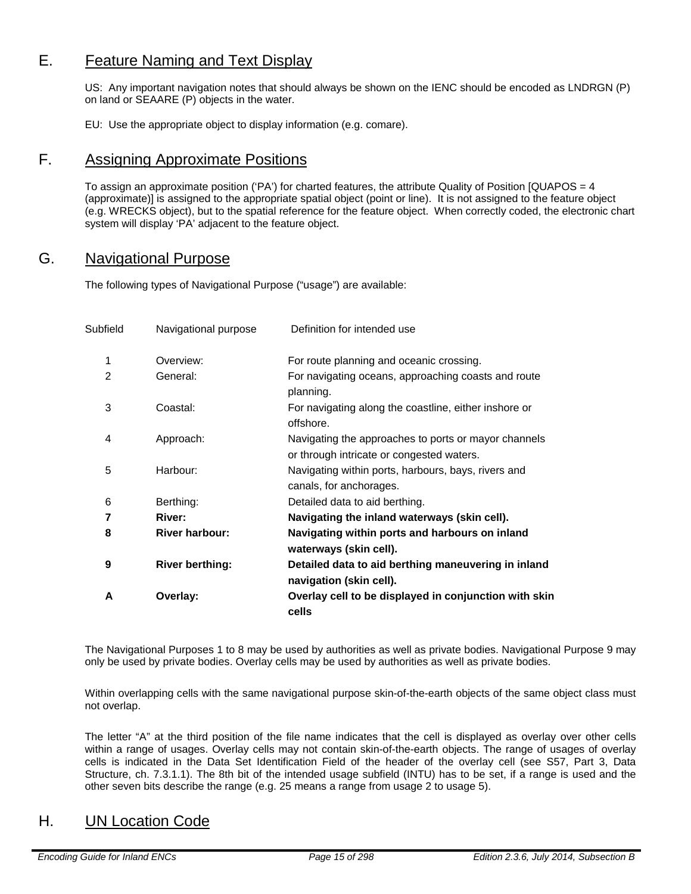## E. Feature Naming and Text Display

US: Any important navigation notes that should always be shown on the IENC should be encoded as LNDRGN (P) on land or SEAARE (P) objects in the water.

EU: Use the appropriate object to display information (e.g. comare).

## F. Assigning Approximate Positions

To assign an approximate position ('PA') for charted features, the attribute Quality of Position [QUAPOS = 4 (approximate)] is assigned to the appropriate spatial object (point or line). It is not assigned to the feature object (e.g. WRECKS object), but to the spatial reference for the feature object. When correctly coded, the electronic chart system will display 'PA' adjacent to the feature object.

### G. Navigational Purpose

The following types of Navigational Purpose ("usage") are available:

| Subfield       | Navigational purpose   | Definition for intended use                                                                       |
|----------------|------------------------|---------------------------------------------------------------------------------------------------|
| 1              | Overview:              | For route planning and oceanic crossing.                                                          |
| $\overline{2}$ | General:               | For navigating oceans, approaching coasts and route<br>planning.                                  |
| 3              | Coastal:               | For navigating along the coastline, either inshore or<br>offshore.                                |
| 4              | Approach:              | Navigating the approaches to ports or mayor channels<br>or through intricate or congested waters. |
| 5              | Harbour:               | Navigating within ports, harbours, bays, rivers and<br>canals, for anchorages.                    |
| 6              | Berthing:              | Detailed data to aid berthing.                                                                    |
| 7              | River:                 | Navigating the inland waterways (skin cell).                                                      |
| 8              | <b>River harbour:</b>  | Navigating within ports and harbours on inland<br>waterways (skin cell).                          |
| 9              | <b>River berthing:</b> | Detailed data to aid berthing maneuvering in inland<br>navigation (skin cell).                    |
| A              | Overlay:               | Overlay cell to be displayed in conjunction with skin<br>cells                                    |

The Navigational Purposes 1 to 8 may be used by authorities as well as private bodies. Navigational Purpose 9 may only be used by private bodies. Overlay cells may be used by authorities as well as private bodies.

Within overlapping cells with the same navigational purpose skin-of-the-earth objects of the same object class must not overlap.

The letter "A" at the third position of the file name indicates that the cell is displayed as overlay over other cells within a range of usages. Overlay cells may not contain skin-of-the-earth objects. The range of usages of overlay cells is indicated in the Data Set Identification Field of the header of the overlay cell (see S57, Part 3, Data Structure, ch. 7.3.1.1). The 8th bit of the intended usage subfield (INTU) has to be set, if a range is used and the other seven bits describe the range (e.g. 25 means a range from usage 2 to usage 5).

# H. UN Location Code